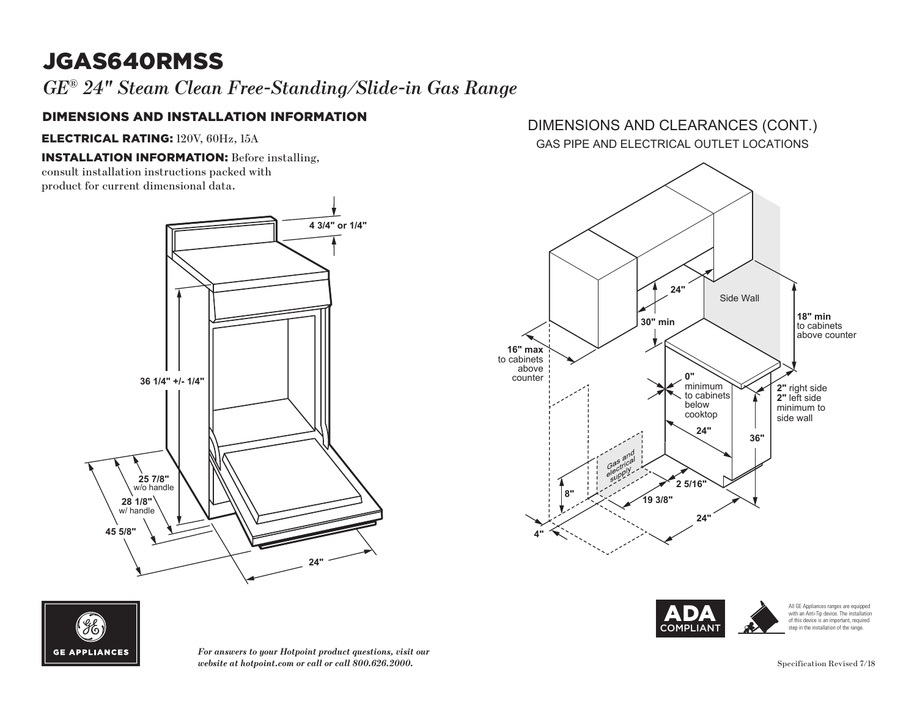# JGAS640RMSS

*GE® 24" Steam Clean Free-Standing/Slide-in Gas Range*

### DIMENSIONS AND INSTALLATION INFORMATION

ELECTRICAL RATING: 120V, 60Hz, 15A

INSTALLATION INFORMATION: Before installing,

consult installation instructions packed with product for current dimensional data.



#### GAS PIPE AND ELECTRICAL OUTLET LOCATIONS DIMENSIONS AND CLEARANCES (CONT.)





*For answers to your Hotpoint product questions, visit our website at hotpoint.com or call or call 800.626.2000.*